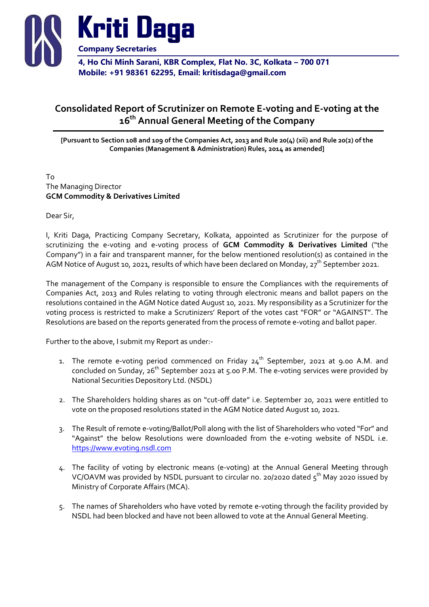

## 4, Ho Chi Minh Sarani, KBR Complex, Flat No. 3C, Kolkata – 700 071 Mobile: +91 98361 62295, Email: kritisdaga@gmail.com

## Consolidated Report of Scrutinizer on Remote E-voting and E-voting at the 16<sup>th</sup> Annual General Meeting of the Company

[Pursuant to Section 108 and 109 of the Companies Act, 2013 and Rule 20(4) (xii) and Rule 20(2) of the Companies (Management & Administration) Rules, 2014 as amended]

To The Managing Director GCM Commodity & Derivatives Limited

Dear Sir,

I, Kriti Daga, Practicing Company Secretary, Kolkata, appointed as Scrutinizer for the purpose of scrutinizing the e-voting and e-voting process of GCM Commodity & Derivatives Limited ("the Company") in a fair and transparent manner, for the below mentioned resolution(s) as contained in the AGM Notice of August 10, 2021, results of which have been declared on Monday,  $27^{th}$  September 2021.

The management of the Company is responsible to ensure the Compliances with the requirements of Companies Act, 2013 and Rules relating to voting through electronic means and ballot papers on the resolutions contained in the AGM Notice dated August 10, 2021. My responsibility as a Scrutinizer for the voting process is restricted to make a Scrutinizers' Report of the votes cast "FOR" or "AGAINST". The Resolutions are based on the reports generated from the process of remote e-voting and ballot paper.

Further to the above, I submit my Report as under:-

- 1. The remote e-voting period commenced on Friday  $24^{th}$  September, 2021 at 9.00 A.M. and concluded on Sunday,  $26<sup>th</sup>$  September 2021 at 5.00 P.M. The e-voting services were provided by National Securities Depository Ltd. (NSDL)
- 2. The Shareholders holding shares as on "cut-off date" i.e. September 20, 2021 were entitled to vote on the proposed resolutions stated in the AGM Notice dated August 10, 2021.
- 3. The Result of remote e-voting/Ballot/Poll along with the list of Shareholders who voted "For" and "Against" the below Resolutions were downloaded from the e-voting website of NSDL i.e. https://www.evoting.nsdl.com
- 4. The facility of voting by electronic means (e-voting) at the Annual General Meeting through VC/OAVM was provided by NSDL pursuant to circular no. 20/2020 dated  $5<sup>th</sup>$  May 2020 issued by Ministry of Corporate Affairs (MCA).
- 5. The names of Shareholders who have voted by remote e-voting through the facility provided by NSDL had been blocked and have not been allowed to vote at the Annual General Meeting.